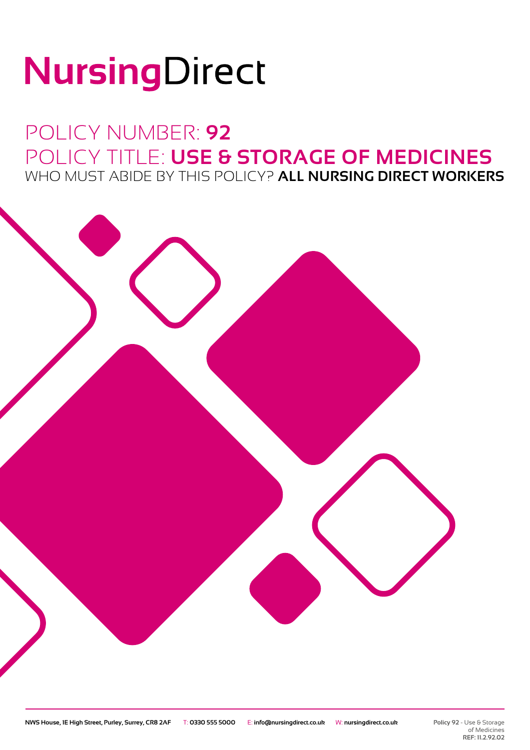# NursingDirect

### POLICY NUMBER: **92** POLICY TITLE: **USE & STORAGE OF MEDICINES** WHO MUST ABIDE BY THIS POLICY? **ALL NURSING DIRECT WORKERS**